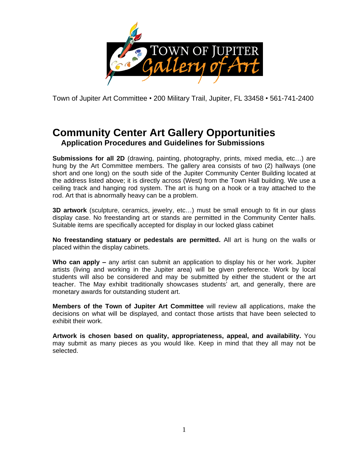

Town of Jupiter Art Committee • 200 Military Trail, Jupiter, FL 33458 • 561-741-2400

## **Community Center Art Gallery Opportunities Application Procedures and Guidelines for Submissions**

**Submissions for all 2D** (drawing, painting, photography, prints, mixed media, etc…) are hung by the Art Committee members. The gallery area consists of two (2) hallways (one short and one long) on the south side of the Jupiter Community Center Building located at the address listed above; it is directly across (West) from the Town Hall building. We use a ceiling track and hanging rod system. The art is hung on a hook or a tray attached to the rod. Art that is abnormally heavy can be a problem.

**3D artwork** (sculpture, ceramics, jewelry, etc…) must be small enough to fit in our glass display case. No freestanding art or stands are permitted in the Community Center halls. Suitable items are specifically accepted for display in our locked glass cabinet

**No freestanding statuary or pedestals are permitted.** All art is hung on the walls or placed within the display cabinets.

**Who can apply –** any artist can submit an application to display his or her work. Jupiter artists (living and working in the Jupiter area) will be given preference. Work by local students will also be considered and may be submitted by either the student or the art teacher. The May exhibit traditionally showcases students' art, and generally, there are monetary awards for outstanding student art.

**Members of the Town of Jupiter Art Committee** will review all applications, make the decisions on what will be displayed, and contact those artists that have been selected to exhibit their work.

**Artwork is chosen based on quality, appropriateness, appeal, and availability.** You may submit as many pieces as you would like. Keep in mind that they all may not be selected.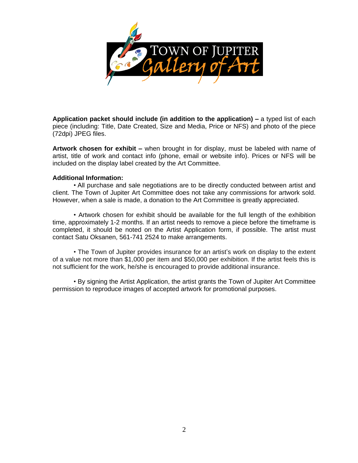

**Application packet should include (in addition to the application) –** a typed list of each piece (including: Title, Date Created, Size and Media, Price or NFS) and photo of the piece (72dpi) JPEG files.

**Artwork chosen for exhibit –** when brought in for display, must be labeled with name of artist, title of work and contact info (phone, email or website info). Prices or NFS will be included on the display label created by the Art Committee.

## **Additional Information:**

• All purchase and sale negotiations are to be directly conducted between artist and client. The Town of Jupiter Art Committee does not take any commissions for artwork sold. However, when a sale is made, a donation to the Art Committee is greatly appreciated.

• Artwork chosen for exhibit should be available for the full length of the exhibition time, approximately 1-2 months. If an artist needs to remove a piece before the timeframe is completed, it should be noted on the Artist Application form, if possible. The artist must contact Satu Oksanen, 561-741 2524 to make arrangements.

• The Town of Jupiter provides insurance for an artist's work on display to the extent of a value not more than \$1,000 per item and \$50,000 per exhibition. If the artist feels this is not sufficient for the work, he/she is encouraged to provide additional insurance.

• By signing the Artist Application, the artist grants the Town of Jupiter Art Committee permission to reproduce images of accepted artwork for promotional purposes.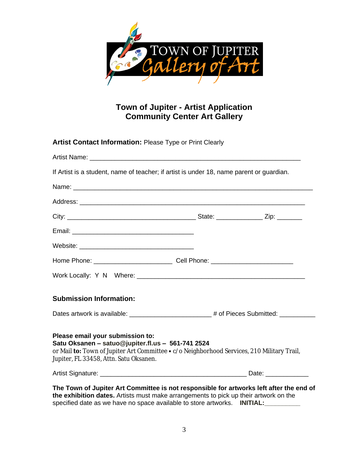

## **Town of Jupiter - Artist Application Community Center Art Gallery**

| If Artist is a student, name of teacher; if artist is under 18, name parent or guardian.                                                                                                                                                                    |  |
|-------------------------------------------------------------------------------------------------------------------------------------------------------------------------------------------------------------------------------------------------------------|--|
|                                                                                                                                                                                                                                                             |  |
|                                                                                                                                                                                                                                                             |  |
|                                                                                                                                                                                                                                                             |  |
|                                                                                                                                                                                                                                                             |  |
|                                                                                                                                                                                                                                                             |  |
|                                                                                                                                                                                                                                                             |  |
| Home Phone: __________________________________Cell Phone: _______________________                                                                                                                                                                           |  |
|                                                                                                                                                                                                                                                             |  |
| <b>Submission Information:</b>                                                                                                                                                                                                                              |  |
| Dates artwork is available: _______________________# of Pieces Submitted: __________                                                                                                                                                                        |  |
| Please email your submission to:<br>Satu Oksanen - satuo@jupiter.fl.us - 561-741 2524<br>or Mail to: Town of Jupiter Art Committee • c/o Neighborhood Services, 210 Military Trail,<br>Jupiter, FL 33458, Attn. Satu Oksanen.                               |  |
|                                                                                                                                                                                                                                                             |  |
| The Town of Jupiter Art Committee is not responsible for artworks left after the end of<br>the exhibition dates. Artists must make arrangements to pick up their artwork on the<br>specified date as we have no space available to store artworks. INITIAL: |  |